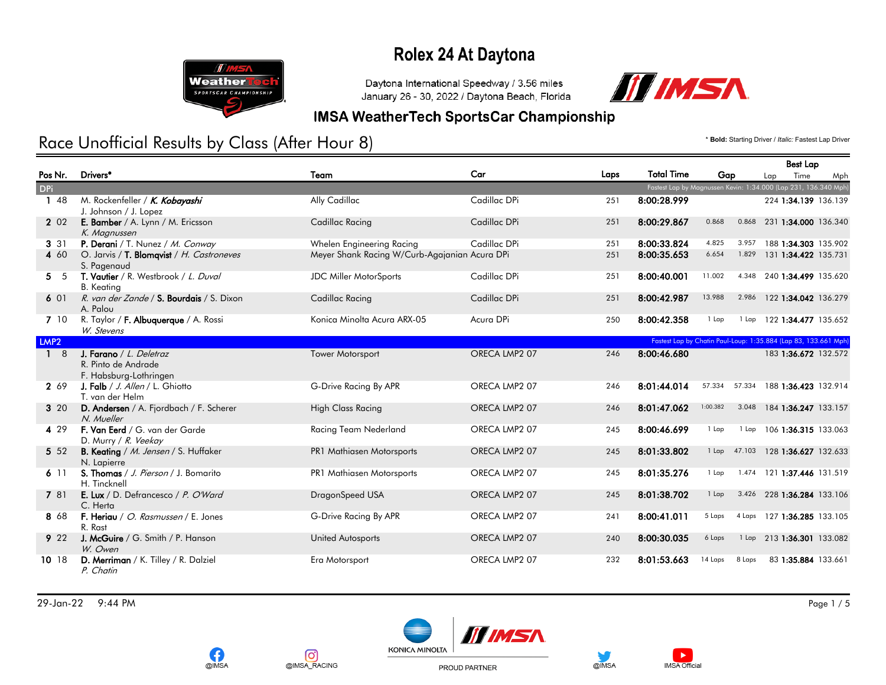

Daytona International Speedway / 3.56 miles January 26 - 30, 2022 / Daytona Beach, Florida



#### **IMSA WeatherTech SportsCar Championship**

## Race Unofficial Results by Class (After Hour 8) **And Access 2012 12 and Access Capital** Crastest Lap Driver / *Italic: Fastest Lap Driver*

Best Lap

|                   |                                                                          |                                               |               |      |                   |                                                                 |                            | <b>Best Lap</b>      |     |
|-------------------|--------------------------------------------------------------------------|-----------------------------------------------|---------------|------|-------------------|-----------------------------------------------------------------|----------------------------|----------------------|-----|
| Pos Nr.           | Drivers*                                                                 | Team                                          | Car           | Laps | <b>Total Time</b> | Gap                                                             | Lap                        | Time                 | Mph |
| <b>DPi</b>        |                                                                          |                                               |               |      |                   | Fastest Lap by Magnussen Kevin: 1:34.000 (Lap 231, 136.340 Mph) |                            |                      |     |
| 48                | M. Rockenfeller / K. Kobayashi<br>J. Johnson / J. Lopez                  | Ally Cadillac                                 | Cadillac DPi  | 251  | 8:00:28.999       |                                                                 |                            | 224 1:34.139 136.139 |     |
| 2 0 2             | E. Bamber / A. Lynn / M. Ericsson<br>K. Magnussen                        | Cadillac Racing                               | Cadillac DPi  | 251  | 8:00:29.867       | 0.868<br>0.868                                                  |                            | 231 1:34.000 136.340 |     |
| 3 3 1             | P. Derani / T. Nunez / M. Conway                                         | Whelen Engineering Racing                     | Cadillac DPi  | 251  | 8:00:33.824       | 4.825<br>3.957                                                  |                            | 188 1:34.303 135.902 |     |
| 4 60              | O. Jarvis / T. Blomqvist / H. Castroneves<br>S. Pagenaud                 | Meyer Shank Racing W/Curb-Agajanian Acura DPi |               | 251  | 8:00:35.653       | 6.654<br>1.829                                                  |                            | 131 1:34.422 135.731 |     |
| 5 <sub>5</sub>    | T. Vautier / R. Westbrook / L. Duval<br><b>B.</b> Keating                | <b>JDC Miller MotorSports</b>                 | Cadillac DPi  | 251  | 8:00:40.001       | 11.002<br>4.348                                                 |                            | 240 1:34.499 135.620 |     |
| 601               | R. van der Zande / S. Bourdais / S. Dixon<br>A. Palou                    | Cadillac Racing                               | Cadillac DPi  | 251  | 8:00:42.987       | 13.988<br>2.986                                                 |                            | 122 1:34.042 136.279 |     |
| 7 10              | R. Taylor / F. Albuquerque / A. Rossi<br>W. Stevens                      | Konica Minolta Acura ARX-05                   | Acura DPi     | 250  | 8:00:42.358       | 1 Lap                                                           | 1 Lap 122 1:34.477 135.652 |                      |     |
| LMP <sub>2</sub>  |                                                                          |                                               |               |      |                   | Fastest Lap by Chatin Paul-Loup: 1:35.884 (Lap 83, 133.661 Mph) |                            |                      |     |
| $\mathbf{1}$<br>8 | J. Farano / L. Deletraz<br>R. Pinto de Andrade<br>F. Habsburg-Lothringen | <b>Tower Motorsport</b>                       | ORECA LMP2 07 | 246  | 8:00:46.680       |                                                                 |                            | 183 1:36.672 132.572 |     |
| 2 69              | J. Falb / J. Allen / L. Ghiotto<br>T. van der Helm                       | G-Drive Racing By APR                         | ORECA LMP2 07 | 246  | 8:01:44.014       | 57.334<br>57.334                                                |                            | 188 1:36.423 132.914 |     |
| 3 20              | D. Andersen / A. Fjordbach / F. Scherer<br>N. Mueller                    | <b>High Class Racing</b>                      | ORECA LMP2 07 | 246  | 8:01:47.062       | 1:00.382<br>3.048                                               |                            | 184 1:36.247 133.157 |     |
| 4 29              | F. Van Eerd / G. van der Garde<br>D. Murry / R. Veekay                   | Racing Team Nederland                         | ORECA LMP2 07 | 245  | 8:00:46.699       | 1 Lap<br>1 Lap                                                  |                            | 106 1:36.315 133.063 |     |
| 5 5 2             | B. Keating / M. Jensen / S. Huffaker<br>N. Lapierre                      | PR1 Mathiasen Motorsports                     | ORECA LMP2 07 | 245  | 8:01:33.802       | 47.103<br>$1$ Lap                                               |                            | 128 1:36.627 132.633 |     |
| 611               | S. Thomas / J. Pierson / J. Bomarito<br>H. Tincknell                     | PR1 Mathiasen Motorsports                     | ORECA LMP2 07 | 245  | 8:01:35.276       | 1.474<br>1 Lap                                                  |                            | 121 1:37.446 131.519 |     |
| 7 81              | E. Lux / D. Defrancesco / P. O'Ward<br>C. Herta                          | DragonSpeed USA                               | ORECA LMP2 07 | 245  | 8:01:38.702       | 3.426<br>1 Lap                                                  |                            | 228 1:36.284 133.106 |     |
| 8 68              | F. Heriau / O. Rasmussen / E. Jones<br>R. Rast                           | G-Drive Racing By APR                         | ORECA LMP2 07 | 241  | 8:00:41.011       | 5 Laps<br>4 Laps                                                |                            | 127 1:36.285 133.105 |     |
| 9 2 2             | J. McGuire / G. Smith / P. Hanson<br>W. Owen                             | <b>United Autosports</b>                      | ORECA LMP2 07 | 240  | 8:00:30.035       | 6 Laps<br>1 Lap                                                 |                            | 213 1:36.301 133.082 |     |
| 10 18             | D. Merriman / K. Tilley / R. Dalziel<br>P. Chatin                        | Era Motorsport                                | ORECA LMP2 07 | 232  | 8:01:53.663       | 14 Laps<br>8 Laps                                               |                            | 83 1:35.884 133.661  |     |

29-Jan-22 9:44 PM Page 1 / 5











PROUD PARTNER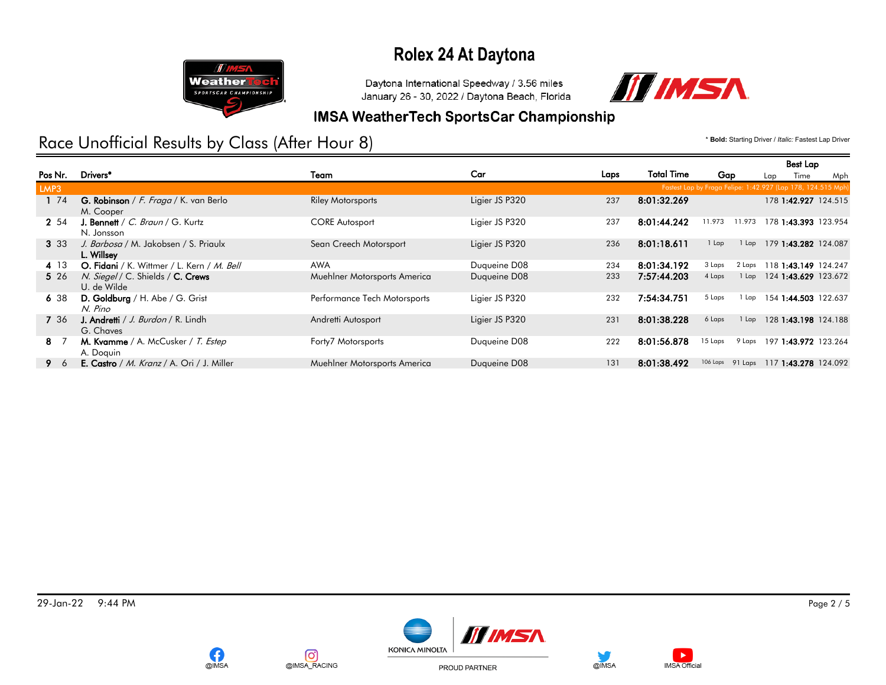

Daytona International Speedway / 3.56 miles January 26 - 30, 2022 / Daytona Beach, Florida



#### **IMSA WeatherTech SportsCar Championship**

## Race Unofficial Results by Class (After Hour 8) **Access 2018** The Control of the Starting Driver / *Italic: Fastest Lap Driver*

|         |                                                                  |                              |                |      |                   |                     | <b>Best Lap</b>                                              |     |
|---------|------------------------------------------------------------------|------------------------------|----------------|------|-------------------|---------------------|--------------------------------------------------------------|-----|
| Pos Nr. | Drivers <sup>*</sup>                                             | Team                         | Car            | Laps | <b>Total Time</b> | Gap                 | Time<br>Lap                                                  | Mph |
| LMP3    |                                                                  |                              |                |      |                   |                     | Fastest Lap by Fraga Felipe: 1:42.927 (Lap 178, 124.515 Mph) |     |
| 1 74    | <b>G. Robinson</b> / F. Fraga / K. van Berlo<br>M. Cooper        | <b>Riley Motorsports</b>     | Ligier JS P320 | 237  | 8:01:32.269       |                     | 178 1:42.927 124.515                                         |     |
| 2 54    | <b>J. Bennett</b> / $C.$ <i>Braun</i> / $G.$ Kurtz<br>N. Jonsson | <b>CORE Autosport</b>        | Ligier JS P320 | 237  | 8:01:44.242       | 11.973<br>11.973    | 178 1:43.393 123.954                                         |     |
| 3 3 3   | J. Barbosa / M. Jakobsen / S. Priaulx<br>L. Willsey              | Sean Creech Motorsport       | Ligier JS P320 | 236  | 8:01:18.611       | $1$ Lap<br>$1$ Lap  | 179 1:43.282 124.087                                         |     |
| 4 13    | O. Fidani / K. Wittmer / L. Kern / M. Bell                       | <b>AWA</b>                   | Duqueine D08   | 234  | 8:01:34.192       | 3 Laps<br>2 Laps    | 118 1:43.149 124.247                                         |     |
| 5 26    | N. Siegel / C. Shields / C. Crews<br>U. de Wilde                 | Muehlner Motorsports America | Duqueine D08   | 233  | 7:57:44.203       | 4 Laps<br>$1$ Lap   | 124 1:43.629 123.672                                         |     |
| 638     | D. Goldburg / H. Abe / G. Grist<br>N. Pino                       | Performance Tech Motorsports | Ligier JS P320 | 232  | 7:54:34.751       | 5 Laps<br>1 Lap     | 154 1:44.503 122.637                                         |     |
| 7 36    | J. Andretti / J. Burdon / R. Lindh<br>G. Chaves                  | Andretti Autosport           | Ligier JS P320 | 231  | 8:01:38.228       | 6 Laps<br>$1$ Lap   | 128 1:43.198 124.188                                         |     |
| 8 7     | M. Kvamme / A. McCusker / T. Estep<br>A. Doguin                  | Forty7 Motorsports           | Duqueine D08   | 222  | 8:01:56.878       | 15 Laps<br>9 Laps   | 197 1:43.972 123.264                                         |     |
| 96      | <b>E. Castro</b> / <i>M. Kranz</i> / A. Ori / J. Miller          | Muehlner Motorsports America | Duqueine D08   | 131  | 8:01:38.492       | 106 Laps<br>91 Laps | 117 1:43.278 124.092                                         |     |







PROUD PARTNER



 $\blacktriangleright$ 

**IMSA Official**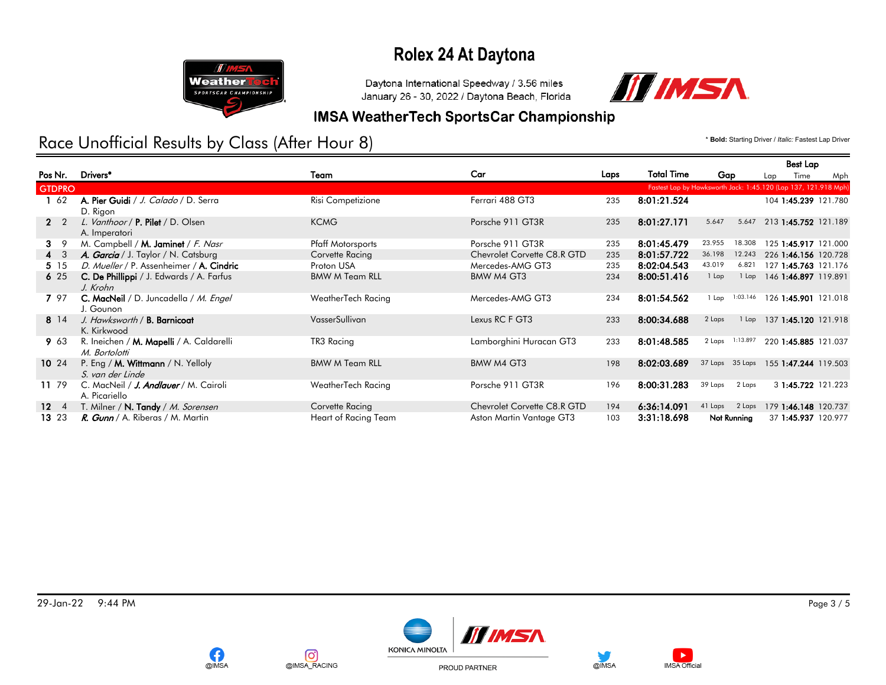

Daytona International Speedway / 3.56 miles January 26 - 30, 2022 / Daytona Beach, Florida



#### **IMSA WeatherTech SportsCar Championship**

## Race Unofficial Results by Class (After Hour 8) **Access 2018** The Control of the Starting Driver / *Italic: Fastest Lap Driver*

|                  |                                                                      |                          |                             |      |                   |                                                                 | <b>Best Lap</b>      |     |
|------------------|----------------------------------------------------------------------|--------------------------|-----------------------------|------|-------------------|-----------------------------------------------------------------|----------------------|-----|
| Pos Nr.          | Drivers*                                                             | Team                     | Car                         | Laps | <b>Total Time</b> | Gap                                                             | Time<br>Lap          | Mph |
| <b>GTDPRO</b>    |                                                                      |                          |                             |      |                   | Fastest Lap by Hawksworth Jack: 1:45.120 (Lap 137, 121.918 Mph) |                      |     |
| $1\overline{62}$ | A. Pier Guidi / J. Calado / D. Serra<br>D. Rigon                     | Risi Competizione        | Ferrari 488 GT3             | 235  | 8:01:21.524       |                                                                 | 104 1:45.239 121.780 |     |
| $2 \quad 2$      | L. Vanthoor / <b>P. Pilet</b> / D. Olsen<br>A. Imperatori            | <b>KCMG</b>              | Porsche 911 GT3R            | 235  | 8:01:27.171       | 5.647<br>5.647                                                  | 213 1:45.752 121.189 |     |
| $3 \overline{9}$ | M. Campbell / M. Jaminet / F. Nasr                                   | <b>Pfaff Motorsports</b> | Porsche 911 GT3R            | 235  | 8:01:45.479       | 18.308<br>23.955                                                | 125 1:45.917 121.000 |     |
| $4 \quad 3$      | A. Garcia / J. Taylor / N. Catsburg                                  | Corvette Racing          | Chevrolet Corvette C8.R GTD | 235  | 8:01:57.722       | 36.198<br>12.243                                                | 226 1:46.156 120.728 |     |
| 5 15             | D. Mueller / P. Assenheimer / A. Cindric                             | Proton USA               | Mercedes-AMG GT3            | 235  | 8:02:04.543       | 43.019<br>6.821                                                 | 127 1:45.763 121.176 |     |
| 625              | C. De Phillippi / J. Edwards / A. Farfus<br>J. Krohn                 | <b>BMW M Team RLL</b>    | BMW M4 GT3                  | 234  | 8:00:51.416       | 1 Lap<br>1 Lap                                                  | 146 1:46.897 119.891 |     |
| 7 97             | C. MacNeil / D. Juncadella / M. Engel<br>J. Gounon                   | WeatherTech Racing       | Mercedes-AMG GT3            | 234  | 8:01:54.562       | 1:03.146<br>1 Lap                                               | 126 1:45.901 121.018 |     |
| 8 14             | J. Hawksworth / <b>B. Barnicoat</b><br>K. Kirkwood                   | VasserSullivan           | Lexus RC F GT3              | 233  | 8:00:34.688       | 2 Laps<br>1 Lap                                                 | 137 1:45.120 121.918 |     |
| 9 63             | R. Ineichen / <b>M. Mapelli</b> / A. Caldarelli<br>M. Bortolotti     | TR3 Racing               | Lamborghini Huracan GT3     | 233  | 8:01:48.585       | 1:13.897<br>2 Laps                                              | 220 1:45.885 121.037 |     |
| $10^{24}$        | P. Eng / M. Wittmann / N. Yelloly<br>S. van der Linde                | <b>BMW M Team RLL</b>    | BMW M4 GT3                  | 198  | 8:02:03.689       | 37 Laps 35 Laps 155 1:47.244 119.503                            |                      |     |
| 11 79            | C. MacNeil / <b><i>J. Andlauer</i></b> / M. Cairoli<br>A. Picariello | WeatherTech Racing       | Porsche 911 GT3R            | 196  | 8:00:31.283       | 39 Laps<br>2 Laps                                               | 3 1:45.722 121.223   |     |
| $12 \quad 4$     | T. Milner / N. Tandy / M. Sorensen                                   | Corvette Racing          | Chevrolet Corvette C8.R GTD | 194  | 6:36:14.091       | 2 Laps<br>41 Laps                                               | 179 1:46.148 120.737 |     |
| 13 23            | R. Gunn / A. Riberas / M. Martin                                     | Heart of Racing Team     | Aston Martin Vantage GT3    | 103  | 3:31:18.698       | Not Running                                                     | 37 1:45.937 120.977  |     |

29-Jan-22 9:44 PM Page 3 / 5



 $\blacktriangleright$ 

**IMSA Official** 









PROUD PARTNER

@IMSA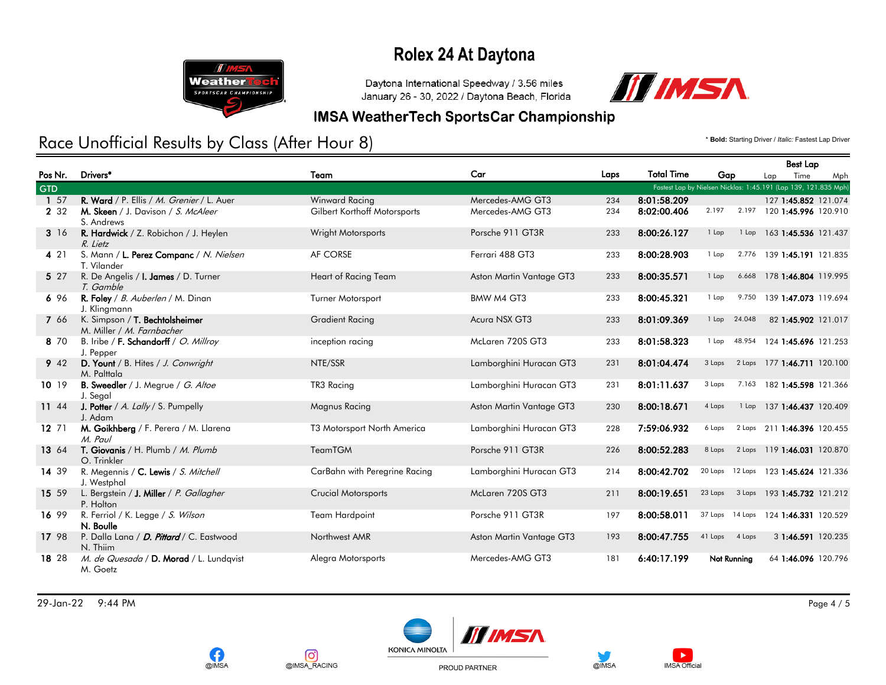

Daytona International Speedway / 3.56 miles January 26 - 30, 2022 / Daytona Beach, Florida



#### **IMSA WeatherTech SportsCar Championship**

## Race Unofficial Results by Class (After Hour 8) **And Access 2012 12 and Access Capital** Crastest Lap Driver / *Italic: Fastest Lap Driver*

|            |                                                             |                               |                          |      |                   |                    | <b>Best Lap</b>                                                |
|------------|-------------------------------------------------------------|-------------------------------|--------------------------|------|-------------------|--------------------|----------------------------------------------------------------|
| Pos Nr.    | Drivers*                                                    | Team                          | Car                      | Laps | <b>Total Time</b> | Gap                | Time<br>Lap<br>Mph                                             |
| <b>GTD</b> |                                                             |                               |                          |      |                   |                    | Fastest Lap by Nielsen Nicklas: 1:45.191 (Lap 139, 121.835 Mph |
| 1 57       | R. Ward / P. Ellis / M. Grenier / L. Auer                   | Winward Racing                | Mercedes-AMG GT3         | 234  | 8:01:58.209       |                    | 127 1:45.852 121.074                                           |
| 2 3 2      | M. Skeen / J. Davison / S. McAleer<br>S. Andrews            | Gilbert Korthoff Motorsports  | Mercedes-AMG GT3         | 234  | 8:02:00.406       | 2.197<br>2.197     | 120 1:45.996 120.910                                           |
| 3 16       | R. Hardwick / Z. Robichon / J. Heylen<br>R. Lietz           | Wright Motorsports            | Porsche 911 GT3R         | 233  | 8:00:26.127       | 1 Lap              | 1 Lap 163 1:45.536 121.437                                     |
| 4 2 1      | S. Mann / L. Perez Companc / N. Nielsen<br>T. Vilander      | AF CORSE                      | Ferrari 488 GT3          | 233  | 8:00:28.903       | 1 Lap              | 2.776 139 1:45.191 121.835                                     |
| 5 27       | R. De Angelis / <b>I. James</b> / D. Turner<br>T. Gamble    | Heart of Racing Team          | Aston Martin Vantage GT3 | 233  | 8:00:35.571       | 6.668<br>1 Lap     | 178 1:46.804 119.995                                           |
| 696        | R. Foley / B. Auberlen / M. Dinan<br>J. Klingmann           | Turner Motorsport             | BMW M4 GT3               | 233  | 8:00:45.321       | 1 Lap<br>9.750     | 139 1:47.073 119.694                                           |
| 7 66       | K. Simpson / T. Bechtolsheimer<br>M. Miller / M. Farnbacher | <b>Gradient Racing</b>        | Acura NSX GT3            | 233  | 8:01:09.369       | 24.048<br>1 Lap    | 82 1:45.902 121.017                                            |
| 8 70       | B. Iribe / F. Schandorff / O. Millroy<br>J. Pepper          | inception racing              | McLaren 720S GT3         | 233  | 8:01:58.323       | 48.954<br>1 Lap    | 124 1:45.696 121.253                                           |
| 9 42       | D. Yount / B. Hites / J. Conwright<br>M. Palttala           | NTE/SSR                       | Lamborghini Huracan GT3  | 231  | 8:01:04.474       | 3 Laps<br>2 Laps   | 177 1:46.711 120.100                                           |
| 10 19      | B. Sweedler / J. Megrue / G. Altoe<br>J. Segal              | TR3 Racing                    | Lamborghini Huracan GT3  | 231  | 8:01:11.637       | 3 Laps<br>7.163    | 182 1:45.598 121.366                                           |
| 11 44      | J. Potter / A. Lally / S. Pumpelly<br>J. Adam               | Magnus Racing                 | Aston Martin Vantage GT3 | 230  | 8:00:18.671       | 4 Laps<br>1 Lap    | 137 1:46.437 120.409                                           |
| 12, 71     | M. Goikhberg / F. Perera / M. Llarena<br>M. Paul            | T3 Motorsport North America   | Lamborghini Huracan GT3  | 228  | 7:59:06.932       | 6 Laps             | 2 Laps 211 1:46.396 120.455                                    |
| 13 64      | T. Giovanis / H. Plumb / M. Plumb<br>O. Trinkler            | <b>TeamTGM</b>                | Porsche 911 GT3R         | 226  | 8:00:52.283       | 8 Laps<br>2 Laps   | 119 1:46.031 120.870                                           |
| 14 39      | R. Megennis / C. Lewis / S. Mitchell<br>J. Westphal         | CarBahn with Peregrine Racing | Lamborghini Huracan GT3  | 214  | 8:00:42.702       | 20 Laps<br>12 Laps | 123 1:45.624 121.336                                           |
| 15 59      | L. Bergstein / J. Miller / P. Gallagher<br>P. Holton        | <b>Crucial Motorsports</b>    | McLaren 720S GT3         | 211  | 8:00:19.651       | 23 Laps            | 3 Laps 193 1:45.732 121.212                                    |
| 16 99      | R. Ferriol / K. Legge / S. Wilson<br>N. Boulle              | <b>Team Hardpoint</b>         | Porsche 911 GT3R         | 197  | 8:00:58.011       | 37 Laps 14 Laps    | 124 1:46.331 120.529                                           |
| 17 98      | P. Dalla Lana / D. Pittard / C. Eastwood<br>N. Thiim        | Northwest AMR                 | Aston Martin Vantage GT3 | 193  | 8:00:47.755       | 41 Laps<br>4 Laps  | 3 1:46.591 120.235                                             |
| 18 28      | M. de Quesada / D. Morad / L. Lundqvist<br>M. Goetz         | Alegra Motorsports            | Mercedes-AMG GT3         | 181  | 6:40:17.199       | Not Running        | 64 1:46.096 120.796                                            |

29-Jan-22 9:44 PM Page 4 / 5







PROUD PARTNER